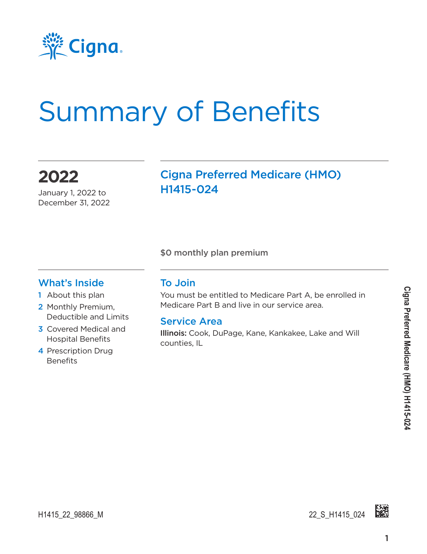

# Summary of Benefits

**2022**

January 1, 2022 to December 31, 2022 Cigna Preferred Medicare (HMO) H1415-024

\$0 monthly plan premium

#### What's Inside

- 1 About this plan
- 2 Monthly Premium, Deductible and Limits
- 3 Covered Medical and Hospital Benefits
- 4 Prescription Drug **Benefits**

#### To Join

You must be entitled to Medicare Part A, be enrolled in Medicare Part B and live in our service area.

#### Service Area

Illinois: Cook, DuPage, Kane, Kankakee, Lake and Will counties, IL

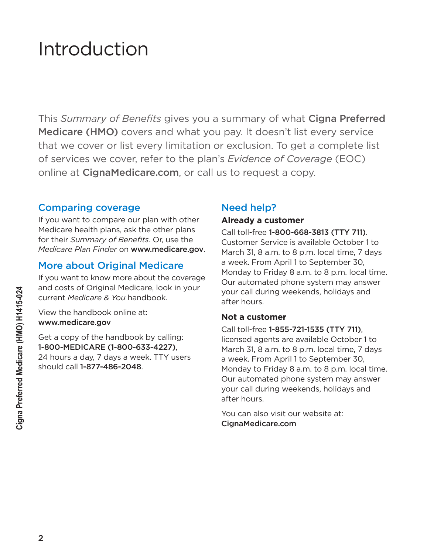# Introduction

This *Summary of Benefits* gives you a summary of what Cigna Preferred Medicare (HMO) covers and what you pay. It doesn't list every service that we cover or list every limitation or exclusion. To get a complete list of services we cover, refer to the plan's *Evidence of Coverage* (EOC) online at [CignaMedicare.com](www.cignamedicare.com), or call us to request a copy.

#### Comparing coverage

If you want to compare our plan with other Medicare health plans, ask the other plans for their *Summary of Benefits*. Or, use the *Medicare Plan Finder* on www.medicare.gov.

#### More about Original Medicare

If you want to know more about the coverage and costs of Original Medicare, look in your current *Medicare & You* handbook.

View the handbook online at: www.medicare.gov

Get a copy of the handbook by calling: 1-800-MEDICARE (1-800-633-4227), 24 hours a day, 7 days a week. TTY users should call 1-877-486-2048.

#### Need help?

#### **Already a customer**

Call toll-free 1-800-668-3813 (TTY 711). Customer Service is available October 1 to March 31, 8 a.m. to 8 p.m. local time, 7 days a week. From April 1 to September 30, Monday to Friday 8 a.m. to 8 p.m. local time. Our automated phone system may answer your call during weekends, holidays and after hours.

#### **Not a customer**

Call toll-free 1-855-721-1535 (TTY 711), licensed agents are available October 1 to March 31, 8 a.m. to 8 p.m. local time, 7 days a week. From April 1 to September 30, Monday to Friday 8 a.m. to 8 p.m. local time. Our automated phone system may answer your call during weekends, holidays and after hours.

You can also visit our website at: [CignaMedicare.com](www.cignamedicare.com)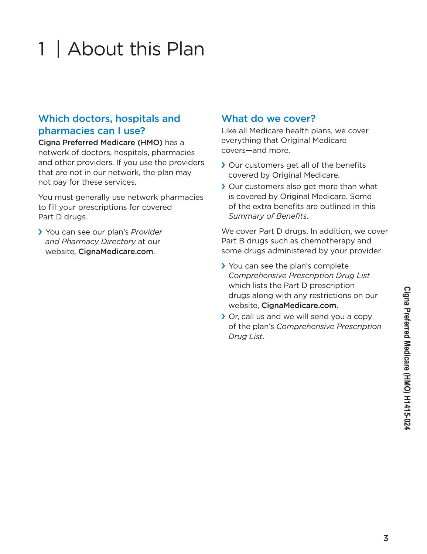### 3

# 1 | About this Plan

### Which doctors, hospitals and pharmacies can I use?

Cigna Preferred Medicare (HMO) has a network of doctors, hospitals, pharmacies and other providers. If you use the providers that are not in our network, the plan may not pay for these services.

You must generally use network pharmacies to fill your prescriptions for covered Part D drugs.

› You can see our plan's *Provider and Pharmacy Directory* at our website, [CignaMedicare.com](www.cignamedicare.com).

### What do we cover?

Like all Medicare health plans, we cover everything that Original Medicare covers—and more.

- › Our customers get all of the benefits covered by Original Medicare.
- › Our customers also get more than what is covered by Original Medicare. Some of the extra benefits are outlined in this *Summary of Benefits*.

We cover Part D drugs. In addition, we cover Part B drugs such as chemotherapy and some drugs administered by your provider.

- › You can see the plan's complete *Comprehensive Prescription Drug List* which lists the Part D prescription drugs along with any restrictions on our website, [CignaMedicare.com](www.cignamedicare.com).
- › Or, call us and we will send you a copy of the plan's *Comprehensive Prescription Drug List*.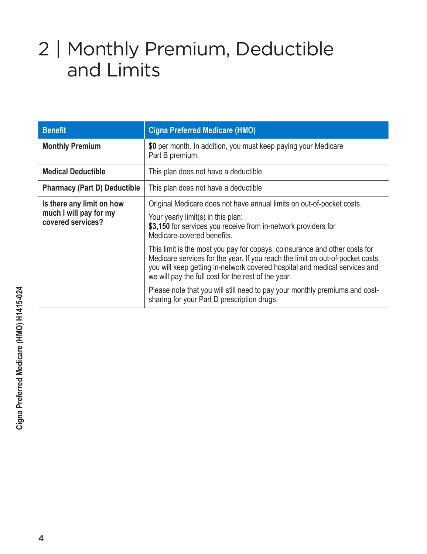# 2 | Monthly Premium, Deductible and Limits

| <b>Benefit</b>                                                           | <b>Cigna Preferred Medicare (HMO)</b>                                                                                                                                                                                                                                                             |  |  |
|--------------------------------------------------------------------------|---------------------------------------------------------------------------------------------------------------------------------------------------------------------------------------------------------------------------------------------------------------------------------------------------|--|--|
| <b>Monthly Premium</b>                                                   | \$0 per month. In addition, you must keep paying your Medicare<br>Part B premium.                                                                                                                                                                                                                 |  |  |
| <b>Medical Deductible</b>                                                | This plan does not have a deductible                                                                                                                                                                                                                                                              |  |  |
| <b>Pharmacy (Part D) Deductible</b>                                      | This plan does not have a deductible                                                                                                                                                                                                                                                              |  |  |
| Is there any limit on how<br>much I will pay for my<br>covered services? | Original Medicare does not have annual limits on out-of-pocket costs.<br>Your yearly limit(s) in this plan:<br>\$3,150 for services you receive from in-network providers for<br>Medicare-covered benefits.                                                                                       |  |  |
|                                                                          | This limit is the most you pay for copays, coinsurance and other costs for<br>Medicare services for the year. If you reach the limit on out-of-pocket costs,<br>you will keep getting in-network covered hospital and medical services and<br>we will pay the full cost for the rest of the year. |  |  |
|                                                                          | Please note that you will still need to pay your monthly premiums and cost-<br>sharing for your Part D prescription drugs.                                                                                                                                                                        |  |  |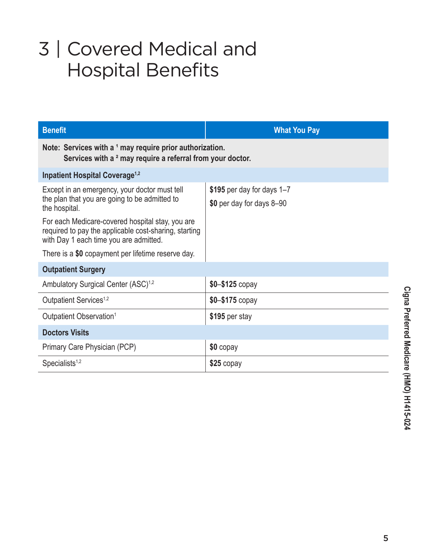# 3 | Covered Medical and Hospital Benefits

| <b>Benefit</b>                                                                                                                                      | <b>What You Pay</b>                                     |  |  |
|-----------------------------------------------------------------------------------------------------------------------------------------------------|---------------------------------------------------------|--|--|
| Note: Services with a 1 may require prior authorization.<br>Services with a <sup>2</sup> may require a referral from your doctor.                   |                                                         |  |  |
| <b>Inpatient Hospital Coverage<sup>1,2</sup></b>                                                                                                    |                                                         |  |  |
| Except in an emergency, your doctor must tell<br>the plan that you are going to be admitted to<br>the hospital.                                     | \$195 per day for days 1-7<br>\$0 per day for days 8-90 |  |  |
| For each Medicare-covered hospital stay, you are<br>required to pay the applicable cost-sharing, starting<br>with Day 1 each time you are admitted. |                                                         |  |  |
| There is a \$0 copayment per lifetime reserve day.                                                                                                  |                                                         |  |  |
| <b>Outpatient Surgery</b>                                                                                                                           |                                                         |  |  |
| Ambulatory Surgical Center (ASC) <sup>1,2</sup>                                                                                                     | $$0 - $125$ copay                                       |  |  |
| Outpatient Services <sup>1,2</sup>                                                                                                                  | $$0 - $175$ copay                                       |  |  |
| Outpatient Observation <sup>1</sup>                                                                                                                 | \$195 per stay                                          |  |  |
| <b>Doctors Visits</b>                                                                                                                               |                                                         |  |  |
| Primary Care Physician (PCP)                                                                                                                        | \$0 copay                                               |  |  |
| Specialists <sup>1,2</sup>                                                                                                                          | $$25$ copay                                             |  |  |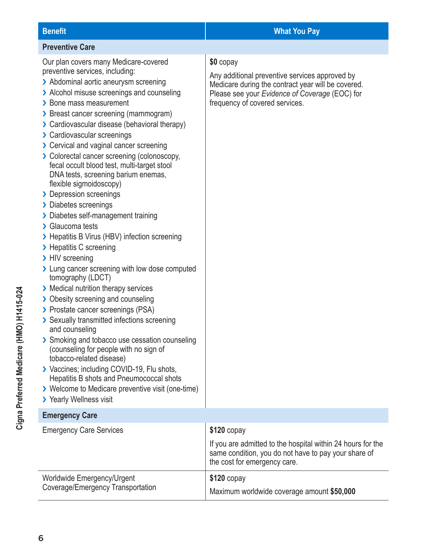#### **Benefit What You Pay Preventive Care** Our plan covers many Medicare-covered preventive services, including: > Abdominal aortic aneurysm screening > Alcohol misuse screenings and counseling > Bone mass measurement › Breast cancer screening (mammogram) › Cardiovascular disease (behavioral therapy) › Cardiovascular screenings › Cervical and vaginal cancer screening › Colorectal cancer screening (colonoscopy, fecal occult blood test, multi-target stool DNA tests, screening barium enemas, flexible sigmoidoscopy) > Depression screenings › Diabetes screenings > Diabetes self-management training › Glaucoma tests › Hepatitis B Virus (HBV) infection screening > Hepatitis C screening > HIV screening > Lung cancer screening with low dose computed tomography (LDCT) **\$0** copay frequency of covered services.

\$120 copay

**\$120** copay

the cost for emergency care.

If you are admitted to the hospital within 24 hours for the same condition, you do not have to pay your share of

Maximum worldwide coverage amount **\$50,000**

- › Medical nutrition therapy services
- › Obesity screening and counseling › Prostate cancer screenings (PSA)
- › Sexually transmitted infections screening and counseling
- > Smoking and tobacco use cessation counseling (counseling for people with no sign of tobacco-related disease)
- › Vaccines; including COVID-19, Flu shots, Hepatitis B shots and Pneumococcal shots
- › Welcome to Medicare preventive visit (one-time)
- > Yearly Wellness visit

## **Emergency Care**

| <b>Emergency Care Services</b>                                  |  |  |  |
|-----------------------------------------------------------------|--|--|--|
|                                                                 |  |  |  |
| Worldwide Emergency/Urgent<br>Coverage/Emergency Transportation |  |  |  |

Any additional preventive services approved by Medicare during the contract year will be covered. Please see your *Evidence of Coverage* (EOC) for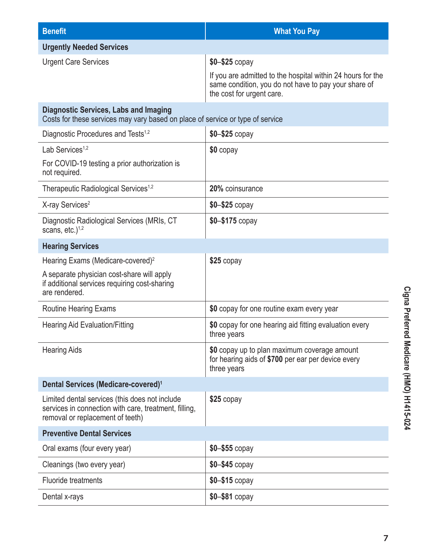| <b>Benefit</b>                                                                                                                              | <b>What You Pay</b>                                                                                                                                                  |
|---------------------------------------------------------------------------------------------------------------------------------------------|----------------------------------------------------------------------------------------------------------------------------------------------------------------------|
| <b>Urgently Needed Services</b>                                                                                                             |                                                                                                                                                                      |
| <b>Urgent Care Services</b>                                                                                                                 | $$0 - $25$ copay<br>If you are admitted to the hospital within 24 hours for the<br>same condition, you do not have to pay your share of<br>the cost for urgent care. |
| <b>Diagnostic Services, Labs and Imaging</b><br>Costs for these services may vary based on place of service or type of service              |                                                                                                                                                                      |
| Diagnostic Procedures and Tests <sup>1,2</sup>                                                                                              | $$0 - $25$ copay                                                                                                                                                     |
| Lab Services <sup>1,2</sup>                                                                                                                 | $$0$ copay                                                                                                                                                           |
| For COVID-19 testing a prior authorization is<br>not required.                                                                              |                                                                                                                                                                      |
| Therapeutic Radiological Services <sup>1,2</sup>                                                                                            | 20% coinsurance                                                                                                                                                      |
| X-ray Services <sup>2</sup>                                                                                                                 | $$0 - $25$ copay                                                                                                                                                     |
| Diagnostic Radiological Services (MRIs, CT<br>scans, $etc.$ ) <sup>1,2</sup>                                                                | $$0 - $175$ copay                                                                                                                                                    |
| <b>Hearing Services</b>                                                                                                                     |                                                                                                                                                                      |
| Hearing Exams (Medicare-covered) <sup>2</sup>                                                                                               | $$25$ copay                                                                                                                                                          |
| A separate physician cost-share will apply<br>if additional services requiring cost-sharing<br>are rendered.                                |                                                                                                                                                                      |
| <b>Routine Hearing Exams</b>                                                                                                                | \$0 copay for one routine exam every year                                                                                                                            |
| <b>Hearing Aid Evaluation/Fitting</b>                                                                                                       | \$0 copay for one hearing aid fitting evaluation every<br>three years                                                                                                |
| <b>Hearing Aids</b>                                                                                                                         | \$0 copay up to plan maximum coverage amount<br>for hearing aids of \$700 per ear per device every<br>three years                                                    |
| Dental Services (Medicare-covered) <sup>1</sup>                                                                                             |                                                                                                                                                                      |
| Limited dental services (this does not include<br>services in connection with care, treatment, filling,<br>removal or replacement of teeth) | $$25$ copay                                                                                                                                                          |
| <b>Preventive Dental Services</b>                                                                                                           |                                                                                                                                                                      |
| Oral exams (four every year)                                                                                                                | \$0-\$55 copay                                                                                                                                                       |
| Cleanings (two every year)                                                                                                                  | $$0 - $45$ copay                                                                                                                                                     |
| <b>Fluoride treatments</b>                                                                                                                  | $$0 - $15$ copay                                                                                                                                                     |
| Dental x-rays                                                                                                                               | \$0-\$81 copay                                                                                                                                                       |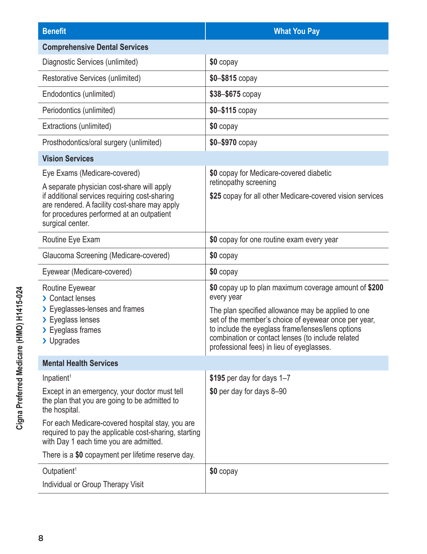| <b>Benefit</b>                                                                                                                                                                                                | <b>What You Pay</b>                                                                                                                                                                                                                                                                                                                      |  |  |  |
|---------------------------------------------------------------------------------------------------------------------------------------------------------------------------------------------------------------|------------------------------------------------------------------------------------------------------------------------------------------------------------------------------------------------------------------------------------------------------------------------------------------------------------------------------------------|--|--|--|
| <b>Comprehensive Dental Services</b>                                                                                                                                                                          |                                                                                                                                                                                                                                                                                                                                          |  |  |  |
| Diagnostic Services (unlimited)                                                                                                                                                                               | \$0 copay                                                                                                                                                                                                                                                                                                                                |  |  |  |
| Restorative Services (unlimited)                                                                                                                                                                              | \$0-\$815 copay                                                                                                                                                                                                                                                                                                                          |  |  |  |
| Endodontics (unlimited)                                                                                                                                                                                       | \$38-\$675 copay                                                                                                                                                                                                                                                                                                                         |  |  |  |
| Periodontics (unlimited)                                                                                                                                                                                      | $$0 - $115$ copay                                                                                                                                                                                                                                                                                                                        |  |  |  |
| Extractions (unlimited)                                                                                                                                                                                       | \$0 copay                                                                                                                                                                                                                                                                                                                                |  |  |  |
| Prosthodontics/oral surgery (unlimited)                                                                                                                                                                       | $$0 - $970$ copay                                                                                                                                                                                                                                                                                                                        |  |  |  |
| <b>Vision Services</b>                                                                                                                                                                                        |                                                                                                                                                                                                                                                                                                                                          |  |  |  |
| Eye Exams (Medicare-covered)                                                                                                                                                                                  | \$0 copay for Medicare-covered diabetic                                                                                                                                                                                                                                                                                                  |  |  |  |
| A separate physician cost-share will apply<br>if additional services requiring cost-sharing<br>are rendered. A facility cost-share may apply<br>for procedures performed at an outpatient<br>surgical center. | retinopathy screening<br>\$25 copay for all other Medicare-covered vision services                                                                                                                                                                                                                                                       |  |  |  |
| Routine Eye Exam                                                                                                                                                                                              | \$0 copay for one routine exam every year                                                                                                                                                                                                                                                                                                |  |  |  |
| Glaucoma Screening (Medicare-covered)                                                                                                                                                                         | \$0 copay                                                                                                                                                                                                                                                                                                                                |  |  |  |
| Eyewear (Medicare-covered)                                                                                                                                                                                    | \$0 copay                                                                                                                                                                                                                                                                                                                                |  |  |  |
| Routine Eyewear<br>> Contact lenses<br>> Eyeglasses-lenses and frames<br>> Eyeglass lenses<br>> Eyeglass frames<br>> Upgrades                                                                                 | \$0 copay up to plan maximum coverage amount of \$200<br>every year<br>The plan specified allowance may be applied to one<br>set of the member's choice of eyewear once per year,<br>to include the eyeglass frame/lenses/lens options<br>combination or contact lenses (to include related<br>professional fees) in lieu of eyeglasses. |  |  |  |
| <b>Mental Health Services</b>                                                                                                                                                                                 |                                                                                                                                                                                                                                                                                                                                          |  |  |  |
| Inpatient <sup>1</sup>                                                                                                                                                                                        | \$195 per day for days 1-7                                                                                                                                                                                                                                                                                                               |  |  |  |
| Except in an emergency, your doctor must tell<br>the plan that you are going to be admitted to<br>the hospital.                                                                                               | \$0 per day for days 8-90                                                                                                                                                                                                                                                                                                                |  |  |  |
| For each Medicare-covered hospital stay, you are<br>required to pay the applicable cost-sharing, starting<br>with Day 1 each time you are admitted.                                                           |                                                                                                                                                                                                                                                                                                                                          |  |  |  |
| There is a \$0 copayment per lifetime reserve day.                                                                                                                                                            |                                                                                                                                                                                                                                                                                                                                          |  |  |  |
| Outpatient <sup>1</sup>                                                                                                                                                                                       | \$0 copay                                                                                                                                                                                                                                                                                                                                |  |  |  |
| Individual or Group Therapy Visit                                                                                                                                                                             |                                                                                                                                                                                                                                                                                                                                          |  |  |  |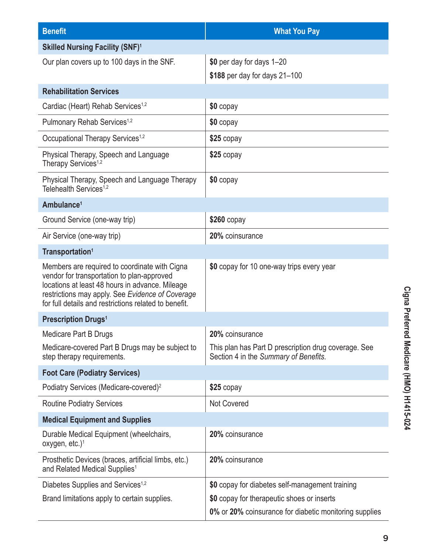| <b>Benefit</b>                                                                                                                                                                                                                                              | <b>What You Pay</b>                                                                           |  |  |
|-------------------------------------------------------------------------------------------------------------------------------------------------------------------------------------------------------------------------------------------------------------|-----------------------------------------------------------------------------------------------|--|--|
| <b>Skilled Nursing Facility (SNF)1</b>                                                                                                                                                                                                                      |                                                                                               |  |  |
| Our plan covers up to 100 days in the SNF.                                                                                                                                                                                                                  | \$0 per day for days 1-20                                                                     |  |  |
|                                                                                                                                                                                                                                                             | \$188 per day for days 21-100                                                                 |  |  |
| <b>Rehabilitation Services</b>                                                                                                                                                                                                                              |                                                                                               |  |  |
| Cardiac (Heart) Rehab Services <sup>1,2</sup>                                                                                                                                                                                                               | \$0 copay                                                                                     |  |  |
| Pulmonary Rehab Services <sup>1,2</sup>                                                                                                                                                                                                                     | \$0 copay                                                                                     |  |  |
| Occupational Therapy Services <sup>1,2</sup>                                                                                                                                                                                                                | $$25$ copay                                                                                   |  |  |
| Physical Therapy, Speech and Language<br>Therapy Services <sup>1,2</sup>                                                                                                                                                                                    | $$25$ copay                                                                                   |  |  |
| Physical Therapy, Speech and Language Therapy<br>Telehealth Services <sup>1,2</sup>                                                                                                                                                                         | \$0 copay                                                                                     |  |  |
| Ambulance <sup>1</sup>                                                                                                                                                                                                                                      |                                                                                               |  |  |
| Ground Service (one-way trip)                                                                                                                                                                                                                               | $$260$ copay                                                                                  |  |  |
| Air Service (one-way trip)                                                                                                                                                                                                                                  | 20% coinsurance                                                                               |  |  |
| Transportation <sup>1</sup>                                                                                                                                                                                                                                 |                                                                                               |  |  |
| Members are required to coordinate with Cigna<br>vendor for transportation to plan-approved<br>locations at least 48 hours in advance. Mileage<br>restrictions may apply. See Evidence of Coverage<br>for full details and restrictions related to benefit. | \$0 copay for 10 one-way trips every year                                                     |  |  |
| <b>Prescription Drugs<sup>1</sup></b>                                                                                                                                                                                                                       |                                                                                               |  |  |
| <b>Medicare Part B Drugs</b>                                                                                                                                                                                                                                | 20% coinsurance                                                                               |  |  |
| Medicare-covered Part B Drugs may be subject to<br>step therapy requirements.                                                                                                                                                                               | This plan has Part D prescription drug coverage. See<br>Section 4 in the Summary of Benefits. |  |  |
| <b>Foot Care (Podiatry Services)</b>                                                                                                                                                                                                                        |                                                                                               |  |  |
| Podiatry Services (Medicare-covered) <sup>2</sup>                                                                                                                                                                                                           | \$25 copay                                                                                    |  |  |
| <b>Routine Podiatry Services</b>                                                                                                                                                                                                                            | <b>Not Covered</b>                                                                            |  |  |
| <b>Medical Equipment and Supplies</b>                                                                                                                                                                                                                       |                                                                                               |  |  |
| Durable Medical Equipment (wheelchairs,<br>oxygen, etc.) <sup>1</sup>                                                                                                                                                                                       | 20% coinsurance                                                                               |  |  |
| Prosthetic Devices (braces, artificial limbs, etc.)<br>and Related Medical Supplies <sup>1</sup>                                                                                                                                                            | 20% coinsurance                                                                               |  |  |
| Diabetes Supplies and Services <sup>1,2</sup>                                                                                                                                                                                                               | \$0 copay for diabetes self-management training                                               |  |  |
| Brand limitations apply to certain supplies.                                                                                                                                                                                                                | \$0 copay for therapeutic shoes or inserts                                                    |  |  |
|                                                                                                                                                                                                                                                             | 0% or 20% coinsurance for diabetic monitoring supplies                                        |  |  |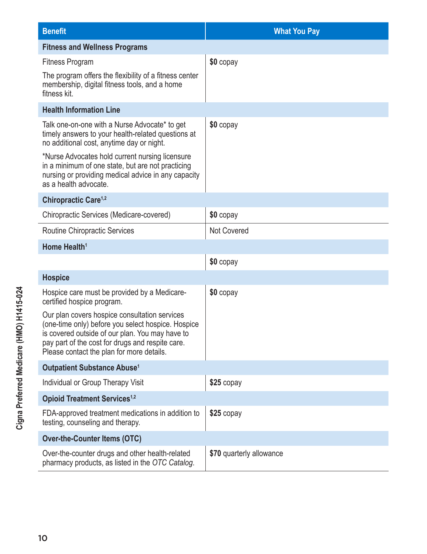| <b>Benefit</b>                                                                                                                                                                                                                                           | <b>What You Pay</b>      |
|----------------------------------------------------------------------------------------------------------------------------------------------------------------------------------------------------------------------------------------------------------|--------------------------|
| <b>Fitness and Wellness Programs</b>                                                                                                                                                                                                                     |                          |
| <b>Fitness Program</b>                                                                                                                                                                                                                                   | \$0 copay                |
| The program offers the flexibility of a fitness center<br>membership, digital fitness tools, and a home<br>fitness kit.                                                                                                                                  |                          |
| <b>Health Information Line</b>                                                                                                                                                                                                                           |                          |
| Talk one-on-one with a Nurse Advocate* to get<br>timely answers to your health-related questions at<br>no additional cost, anytime day or night.<br>*Nurse Advocates hold current nursing licensure<br>in a minimum of one state, but are not practicing | \$0 copay                |
| nursing or providing medical advice in any capacity<br>as a health advocate.                                                                                                                                                                             |                          |
| Chiropractic Care <sup>1,2</sup>                                                                                                                                                                                                                         |                          |
| Chiropractic Services (Medicare-covered)                                                                                                                                                                                                                 | \$0 copay                |
| Routine Chiropractic Services                                                                                                                                                                                                                            | <b>Not Covered</b>       |
| Home Health <sup>1</sup>                                                                                                                                                                                                                                 |                          |
|                                                                                                                                                                                                                                                          | \$0 copay                |
| <b>Hospice</b>                                                                                                                                                                                                                                           |                          |
| Hospice care must be provided by a Medicare-<br>certified hospice program.                                                                                                                                                                               | \$0 copay                |
| Our plan covers hospice consultation services<br>(one-time only) before you select hospice. Hospice<br>is covered outside of our plan. You may have to<br>pay part of the cost for drugs and respite care.<br>Please contact the plan for more details.  |                          |
| <b>Outpatient Substance Abuse<sup>1</sup></b>                                                                                                                                                                                                            |                          |
| Individual or Group Therapy Visit                                                                                                                                                                                                                        | \$25 copay               |
| <b>Opioid Treatment Services<sup>1,2</sup></b>                                                                                                                                                                                                           |                          |
| FDA-approved treatment medications in addition to<br>testing, counseling and therapy.                                                                                                                                                                    | $$25$ copay              |
| <b>Over-the-Counter Items (OTC)</b>                                                                                                                                                                                                                      |                          |
| Over-the-counter drugs and other health-related<br>pharmacy products, as listed in the OTC Catalog.                                                                                                                                                      | \$70 quarterly allowance |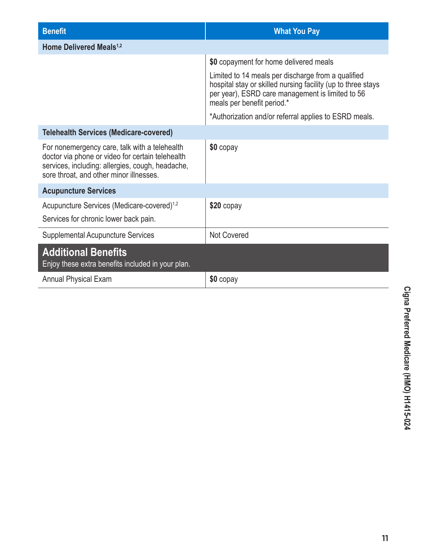| <b>Benefit</b>                                                                                                                                                                                   | <b>What You Pay</b>                                                                                                                                                                                  |
|--------------------------------------------------------------------------------------------------------------------------------------------------------------------------------------------------|------------------------------------------------------------------------------------------------------------------------------------------------------------------------------------------------------|
| Home Delivered Meals <sup>1,2</sup>                                                                                                                                                              |                                                                                                                                                                                                      |
|                                                                                                                                                                                                  | \$0 copayment for home delivered meals                                                                                                                                                               |
|                                                                                                                                                                                                  | Limited to 14 meals per discharge from a qualified<br>hospital stay or skilled nursing facility (up to three stays<br>per year), ESRD care management is limited to 56<br>meals per benefit period.* |
|                                                                                                                                                                                                  | *Authorization and/or referral applies to ESRD meals.                                                                                                                                                |
| <b>Telehealth Services (Medicare-covered)</b>                                                                                                                                                    |                                                                                                                                                                                                      |
| For nonemergency care, talk with a telehealth<br>doctor via phone or video for certain telehealth<br>services, including: allergies, cough, headache,<br>sore throat, and other minor illnesses. | \$0 copay                                                                                                                                                                                            |
| <b>Acupuncture Services</b>                                                                                                                                                                      |                                                                                                                                                                                                      |
| Acupuncture Services (Medicare-covered) <sup>1,2</sup><br>Services for chronic lower back pain.                                                                                                  | $$20$ copay                                                                                                                                                                                          |
| <b>Supplemental Acupuncture Services</b>                                                                                                                                                         | <b>Not Covered</b>                                                                                                                                                                                   |
| <b>Additional Benefits</b><br>Enjoy these extra benefits included in your plan.                                                                                                                  |                                                                                                                                                                                                      |
| <b>Annual Physical Exam</b>                                                                                                                                                                      | \$0 copay                                                                                                                                                                                            |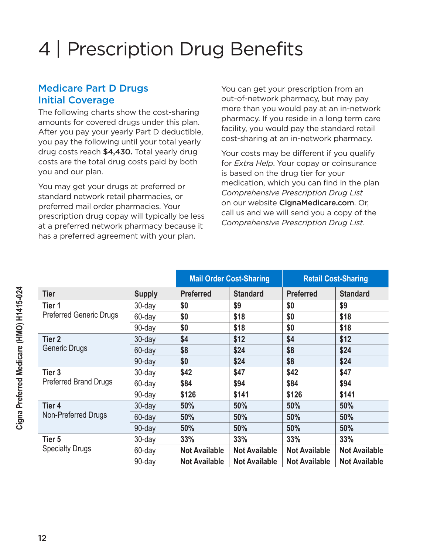# 4 | Prescription Drug Benefits

### Medicare Part D Drugs Initial Coverage

The following charts show the cost-sharing amounts for covered drugs under this plan. After you pay your yearly Part D deductible, you pay the following until your total yearly drug costs reach \$4,430. Total yearly drug costs are the total drug costs paid by both you and our plan.

You may get your drugs at preferred or standard network retail pharmacies, or preferred mail order pharmacies. Your prescription drug copay will typically be less at a preferred network pharmacy because it has a preferred agreement with your plan.

You can get your prescription from an out-of-network pharmacy, but may pay more than you would pay at an in-network pharmacy. If you reside in a long term care facility, you would pay the standard retail cost-sharing at an in-network pharmacy.

Your costs may be different if you qualify for *Extra Help*. Your copay or coinsurance is based on the drug tier for your medication, which you can find in the plan *Comprehensive Prescription Drug List* on our website [CignaMedicare.com](www.cignamedicare.com). Or, call us and we will send you a copy of the *Comprehensive Prescription Drug List*.

|                                             |               | <b>Mail Order Cost-Sharing</b> |                      | <b>Retail Cost-Sharing</b> |                      |
|---------------------------------------------|---------------|--------------------------------|----------------------|----------------------------|----------------------|
| <b>Tier</b>                                 | <b>Supply</b> | <b>Preferred</b>               | <b>Standard</b>      | <b>Preferred</b>           | <b>Standard</b>      |
| Tier 1<br><b>Preferred Generic Drugs</b>    | 30-day        | \$0                            | \$9                  | \$0                        | \$9                  |
|                                             | 60-day        | \$0                            | \$18                 | \$0                        | \$18                 |
|                                             | 90-day        | \$0                            | \$18                 | \$0                        | \$18                 |
| Tier <sub>2</sub><br>Generic Drugs          | 30-day        | \$4                            | \$12                 | \$4                        | \$12                 |
|                                             | 60-day        | \$8                            | \$24                 | \$8                        | \$24                 |
|                                             | 90-day        | \$0                            | \$24                 | \$8                        | \$24                 |
| Tier <sub>3</sub><br>Preferred Brand Drugs  | 30-day        | \$42                           | \$47                 | \$42                       | \$47                 |
|                                             | 60-day        | \$84                           | \$94                 | \$84                       | \$94                 |
|                                             | 90-day        | \$126                          | \$141                | \$126                      | \$141                |
| Tier <sub>4</sub><br>Non-Preferred Drugs    | $30$ -day     | 50%                            | 50%                  | 50%                        | 50%                  |
|                                             | 60-day        | 50%                            | 50%                  | 50%                        | 50%                  |
|                                             | 90-day        | 50%                            | 50%                  | 50%                        | 50%                  |
| Tier <sub>5</sub><br><b>Specialty Drugs</b> | 30-day        | 33%                            | 33%                  | 33%                        | 33%                  |
|                                             | 60-day        | <b>Not Available</b>           | <b>Not Available</b> | <b>Not Available</b>       | <b>Not Available</b> |
|                                             | 90-day        | <b>Not Available</b>           | <b>Not Available</b> | <b>Not Available</b>       | <b>Not Available</b> |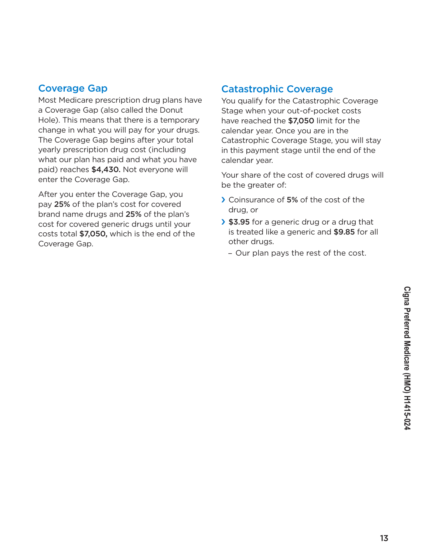### Coverage Gap

Most Medicare prescription drug plans have a Coverage Gap (also called the Donut Hole). This means that there is a temporary change in what you will pay for your drugs. The Coverage Gap begins after your total yearly prescription drug cost (including what our plan has paid and what you have paid) reaches \$4,430. Not everyone will enter the Coverage Gap.

After you enter the Coverage Gap, you pay 25% of the plan's cost for covered brand name drugs and 25% of the plan's cost for covered generic drugs until your costs total \$7,050, which is the end of the Coverage Gap.

### Catastrophic Coverage

You qualify for the Catastrophic Coverage Stage when your out-of-pocket costs have reached the \$7,050 limit for the calendar year. Once you are in the Catastrophic Coverage Stage, you will stay in this payment stage until the end of the calendar year.

Your share of the cost of covered drugs will be the greater of:

- › Coinsurance of 5% of the cost of the drug, or
- › \$3.95 for a generic drug or a drug that is treated like a generic and \$9.85 for all other drugs.
	- Our plan pays the rest of the cost.